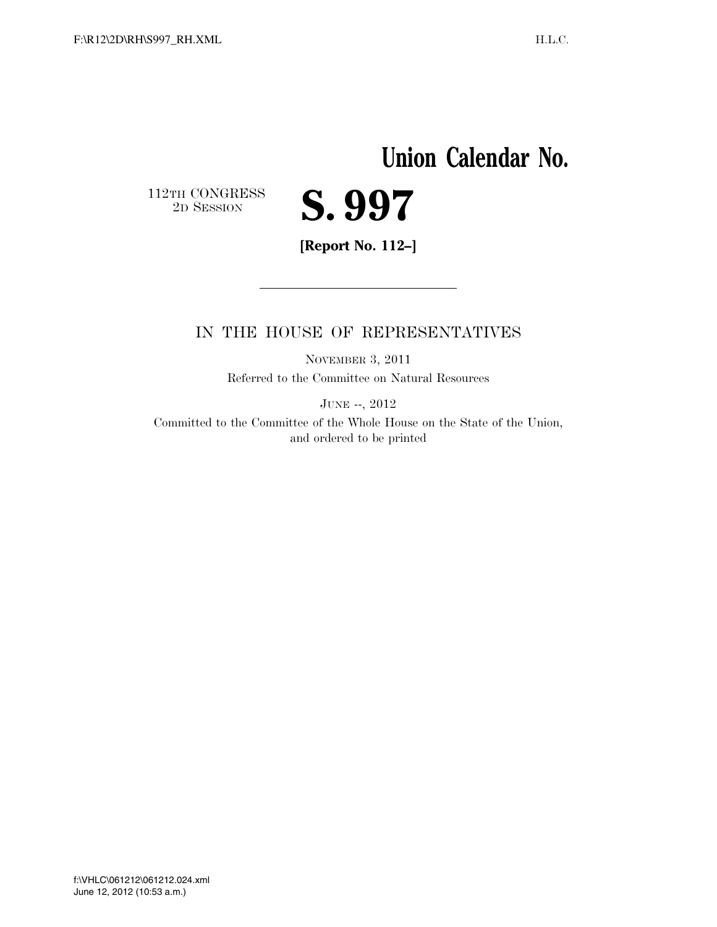# **Union Calendar No.**

 $\begin{array}{c} \textbf{112TH CONGRESS} \\ \textbf{2D} \textbf{Session} \end{array}$ 



**[Report No. 112–]** 

### IN THE HOUSE OF REPRESENTATIVES

NOVEMBER 3, 2011 Referred to the Committee on Natural Resources

JUNE --, 2012

Committed to the Committee of the Whole House on the State of the Union, and ordered to be printed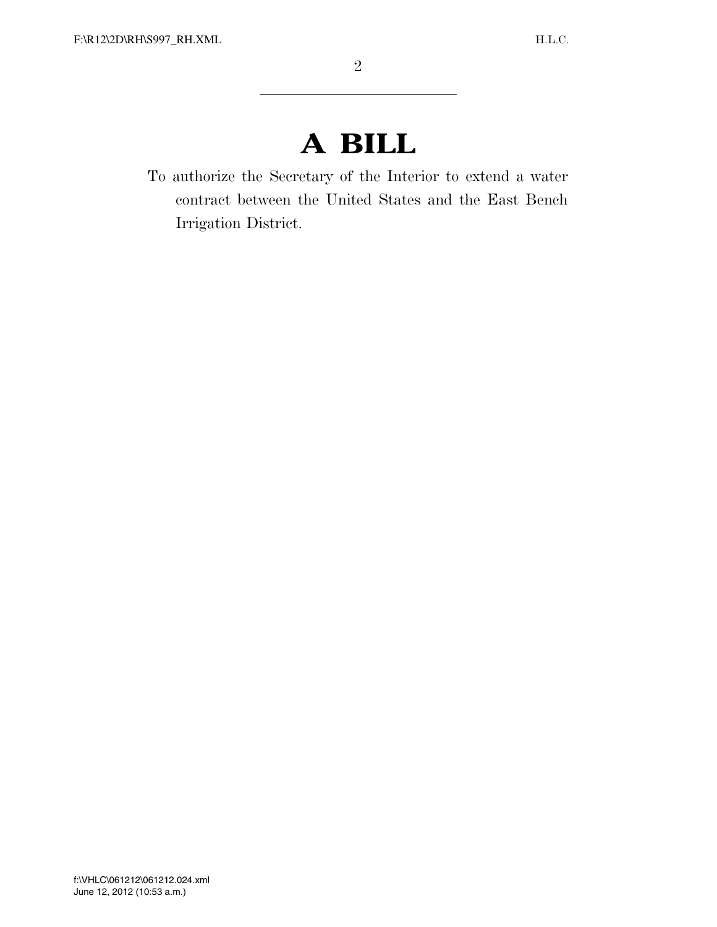## **A BILL**

To authorize the Secretary of the Interior to extend a water contract between the United States and the East Bench Irrigation District.